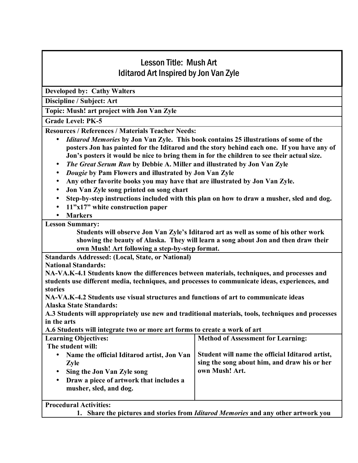## Lesson Title: Mush Art Iditarod Art Inspired by Jon Van Zyle

**Developed by: Cathy Walters** 

**Discipline / Subject: Art** 

**Topic: Mush! art project with Jon Van Zyle** 

**Grade Level: PK-5**

**Resources / References / Materials Teacher Needs:** 

- *Iditarod Memories* **by Jon Van Zyle. This book contains 25 illustrations of some of the posters Jon has painted for the Iditarod and the story behind each one. If you have any of Jon's posters it would be nice to bring them in for the children to see their actual size.**
- *The Great Serum Run* **by Debbie A. Miller and illustrated by Jon Van Zyle**
- *Dougie* **by Pam Flowers and illustrated by Jon Van Zyle**
- **Any other favorite books you may have that are illustrated by Jon Van Zyle.**
- **Jon Van Zyle song printed on song chart**
- **Step-by-step instructions included with this plan on how to draw a musher, sled and dog.**
- **11<sup>°</sup>x17<sup>°</sup> white construction paper**
- **Markers**

**Lesson Summary:** 

Students will observe Jon Van Zyle's Iditarod art as well as some of his other work **showing the beauty of Alaska. They will learn a song about Jon and then draw their own Mush! Art following a step-by-step format.** 

**Standards Addressed: (Local, State, or National)** 

**National Standards:** 

**NA-VA.K-4.1 Students know the differences between materials, techniques, and processes and students use different media, techniques, and processes to communicate ideas, experiences, and stories** 

**NA-VA.K-4.2 Students use visual structures and functions of art to communicate ideas Alaska State Standards:** 

**A.3 Students will appropriately use new and traditional materials, tools, techniques and processes in the arts** 

**A.6 Students will integrate two or more art forms to create a work of art**

| <b>Learning Objectives:</b>                                                                                                                                               | <b>Method of Assessment for Learning:</b>                                                                         |
|---------------------------------------------------------------------------------------------------------------------------------------------------------------------------|-------------------------------------------------------------------------------------------------------------------|
| The student will:                                                                                                                                                         |                                                                                                                   |
| Name the official Iditarod artist, Jon Van<br>$\bullet$<br><b>Zyle</b><br>Sing the Jon Van Zyle song<br>Draw a piece of artwork that includes a<br>musher, sled, and dog. | Student will name the official Iditarod artist,<br>sing the song about him, and draw his or her<br>own Mush! Art. |

**Procedural Activities:** 

**1. Share the pictures and stories from** *Iditarod Memories* **and any other artwork you**